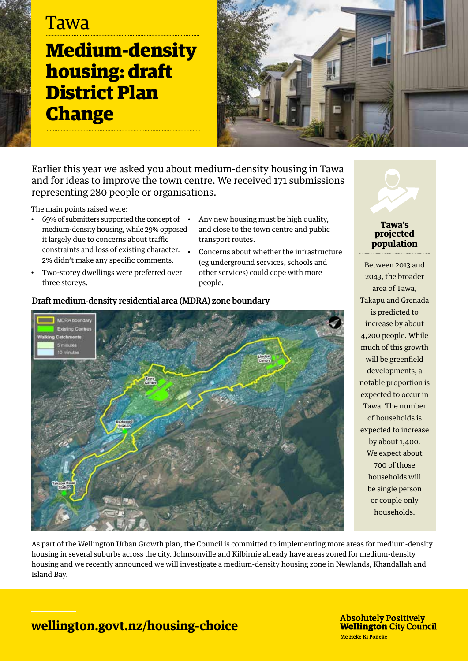# **Tawa**

**Medium-density housing: draft District Plan Change**



Earlier this year we asked you about medium-density housing in Tawa and for ideas to improve the town centre. We received 171 submissions representing 280 people or organisations.

The main points raised were:

- 69% of submitters supported the concept of medium-density housing, while 29% opposed it largely due to concerns about traffic constraints and loss of existing character.  $\bullet$ 2% didn't make any specific comments.
- Two-storey dwellings were preferred over three storeys.
- Any new housing must be high quality, and close to the town centre and public transport routes.
- Concerns about whether the infrastructure (eg underground services, schools and other services) could cope with more people.



### Draft medium-density residential area (MDRA) zone boundary



Between 2013 and 2043, the broader area of Tawa, Takapu and Grenada is predicted to increase by about 4,200 people. While much of this growth will be greenfield developments, a notable proportion is expected to occur in Tawa. The number of households is expected to increase by about 1,400. We expect about 700 of those households will be single person or couple only households.

As part of the Wellington Urban Growth plan, the Council is committed to implementing more areas for medium-density housing in several suburbs across the city. Johnsonville and Kilbirnie already have areas zoned for medium-density housing and we recently announced we will investigate a medium-density housing zone in Newlands, Khandallah and Island Bay.

## **wellington.govt.nz/housing-choice**

**Absolutely Positively Wellington City Council** Me Heke Ki Pōneke